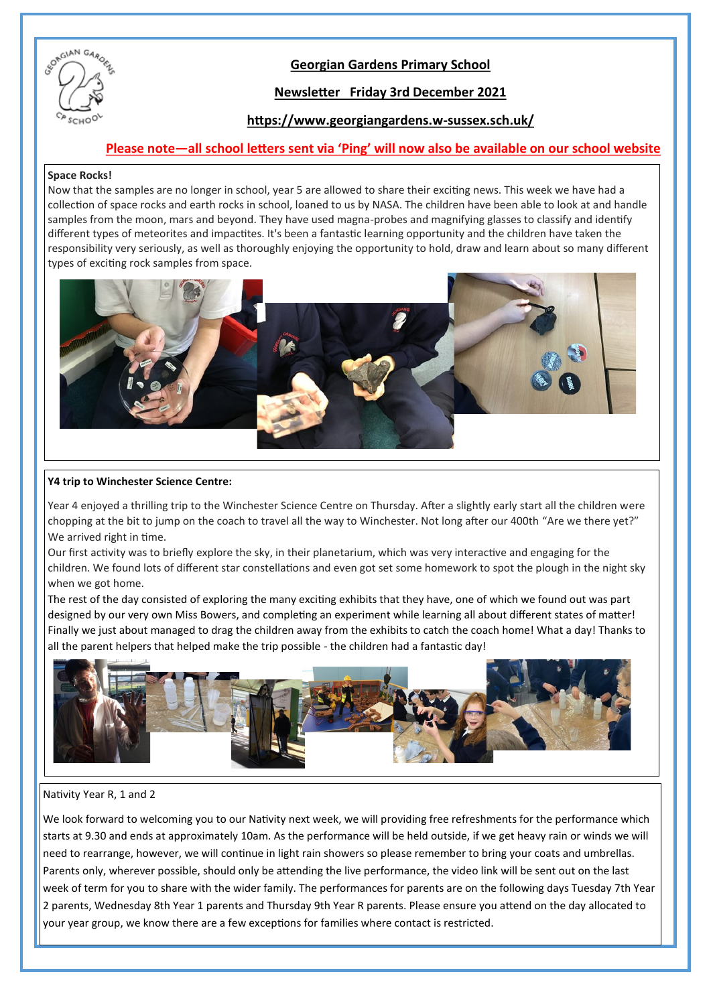

## **Georgian Gardens Primary School**

## **Newsletter Friday 3rd December 2021**

## **https://www.georgiangardens.w-sussex.sch.uk/**

### **Please note—all school letters sent via 'Ping' will now also be available on our school website**

### **Space Rocks!**

Now that the samples are no longer in school, year 5 are allowed to share their exciting news. This week we have had a collection of space rocks and earth rocks in school, loaned to us by NASA. The children have been able to look at and handle samples from the moon, mars and beyond. They have used magna-probes and magnifying glasses to classify and identify different types of meteorites and impactites. It's been a fantastic learning opportunity and the children have taken the responsibility very seriously, as well as thoroughly enjoying the opportunity to hold, draw and learn about so many different types of exciting rock samples from space.



### **Y4 trip to Winchester Science Centre:**

Year 4 enjoyed a thrilling trip to the Winchester Science Centre on Thursday. After a slightly early start all the children were chopping at the bit to jump on the coach to travel all the way to Winchester. Not long after our 400th "Are we there yet?" We arrived right in time.

Our first activity was to briefly explore the sky, in their planetarium, which was very interactive and engaging for the children. We found lots of different star constellations and even got set some homework to spot the plough in the night sky when we got home.

The rest of the day consisted of exploring the many exciting exhibits that they have, one of which we found out was part designed by our very own Miss Bowers, and completing an experiment while learning all about different states of matter! Finally we just about managed to drag the children away from the exhibits to catch the coach home! What a day! Thanks to all the parent helpers that helped make the trip possible - the children had a fantastic day!



#### Nativity Year R, 1 and 2

We look forward to welcoming you to our Nativity next week, we will providing free refreshments for the performance which starts at 9.30 and ends at approximately 10am. As the performance will be held outside, if we get heavy rain or winds we will need to rearrange, however, we will continue in light rain showers so please remember to bring your coats and umbrellas. Parents only, wherever possible, should only be attending the live performance, the video link will be sent out on the last week of term for you to share with the wider family. The performances for parents are on the following days Tuesday 7th Year 2 parents, Wednesday 8th Year 1 parents and Thursday 9th Year R parents. Please ensure you attend on the day allocated to your year group, we know there are a few exceptions for families where contact is restricted.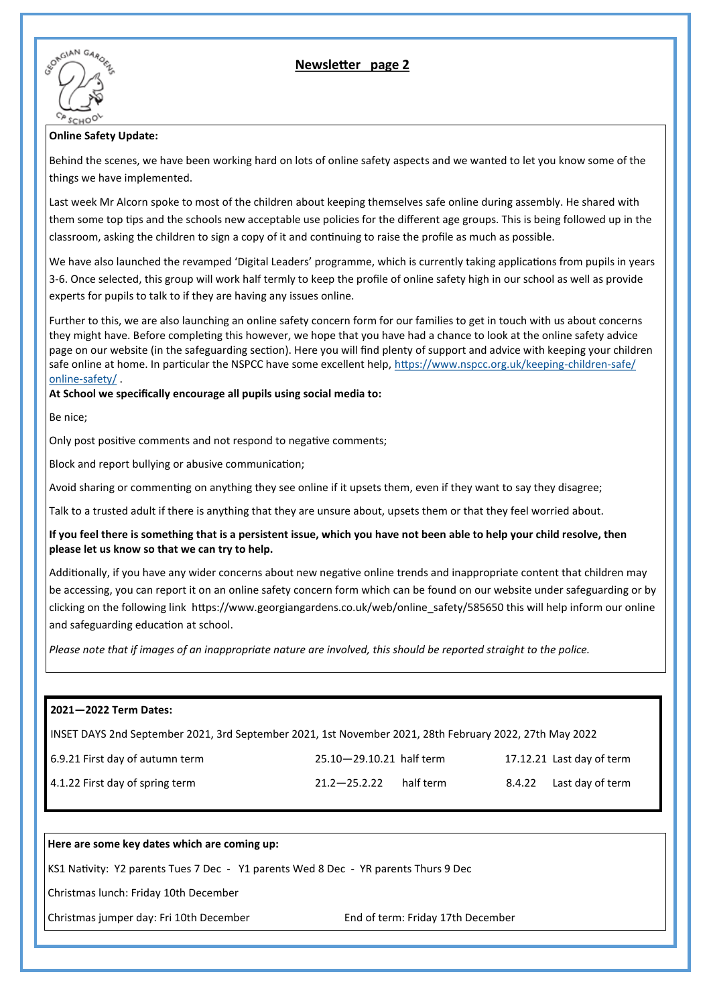**Newsletter page 2**



### **Online Safety Update:**

Behind the scenes, we have been working hard on lots of online safety aspects and we wanted to let you know some of the things we have implemented.

Last week Mr Alcorn spoke to most of the children about keeping themselves safe online during assembly. He shared with them some top tips and the schools new acceptable use policies for the different age groups. This is being followed up in the classroom, asking the children to sign a copy of it and continuing to raise the profile as much as possible.

We have also launched the revamped 'Digital Leaders' programme, which is currently taking applications from pupils in years 3-6. Once selected, this group will work half termly to keep the profile of online safety high in our school as well as provide experts for pupils to talk to if they are having any issues online.

Further to this, we are also launching an online safety concern form for our families to get in touch with us about concerns they might have. Before completing this however, we hope that you have had a chance to look at the online safety advice page on our website (in the safeguarding section). Here you will find plenty of support and advice with keeping your children safe online at home. In particular the NSPCC have some excellent help, [https://www.nspcc.org.uk/keeping](https://www.nspcc.org.uk/keeping-children-safe/online-safety/)-children-safe/ online-[safety/](https://www.nspcc.org.uk/keeping-children-safe/online-safety/) .

**At School we specifically encourage all pupils using social media to:**

Be nice;

Only post positive comments and not respond to negative comments;

Block and report bullying or abusive communication;

Avoid sharing or commenting on anything they see online if it upsets them, even if they want to say they disagree;

Talk to a trusted adult if there is anything that they are unsure about, upsets them or that they feel worried about.

**If you feel there is something that is a persistent issue, which you have not been able to help your child resolve, then please let us know so that we can try to help.**

Additionally, if you have any wider concerns about new negative online trends and inappropriate content that children may be accessing, you can report it on an online safety concern form which can be found on our website under safeguarding or by clicking on the following link https://www.georgiangardens.co.uk/web/online safety/585650 this will help inform our online and safeguarding education at school.

*Please note that if images of an inappropriate nature are involved, this should be reported straight to the police.*

| 2021-2022 Term Dates:                                                                                   |                          |                                   |        |                           |
|---------------------------------------------------------------------------------------------------------|--------------------------|-----------------------------------|--------|---------------------------|
| INSET DAYS 2nd September 2021, 3rd September 2021, 1st November 2021, 28th February 2022, 27th May 2022 |                          |                                   |        |                           |
| 6.9.21 First day of autumn term                                                                         | 25.10-29.10.21 half term |                                   |        | 17.12.21 Last day of term |
| 4.1.22 First day of spring term                                                                         | $21.2 - 25.2.22$         | half term                         | 8.4.22 | Last day of term          |
|                                                                                                         |                          |                                   |        |                           |
| Here are some key dates which are coming up:                                                            |                          |                                   |        |                           |
| KS1 Nativity: Y2 parents Tues 7 Dec - Y1 parents Wed 8 Dec - YR parents Thurs 9 Dec                     |                          |                                   |        |                           |
| Christmas lunch: Friday 10th December                                                                   |                          |                                   |        |                           |
| Christmas jumper day: Fri 10th December                                                                 |                          | End of term: Friday 17th December |        |                           |